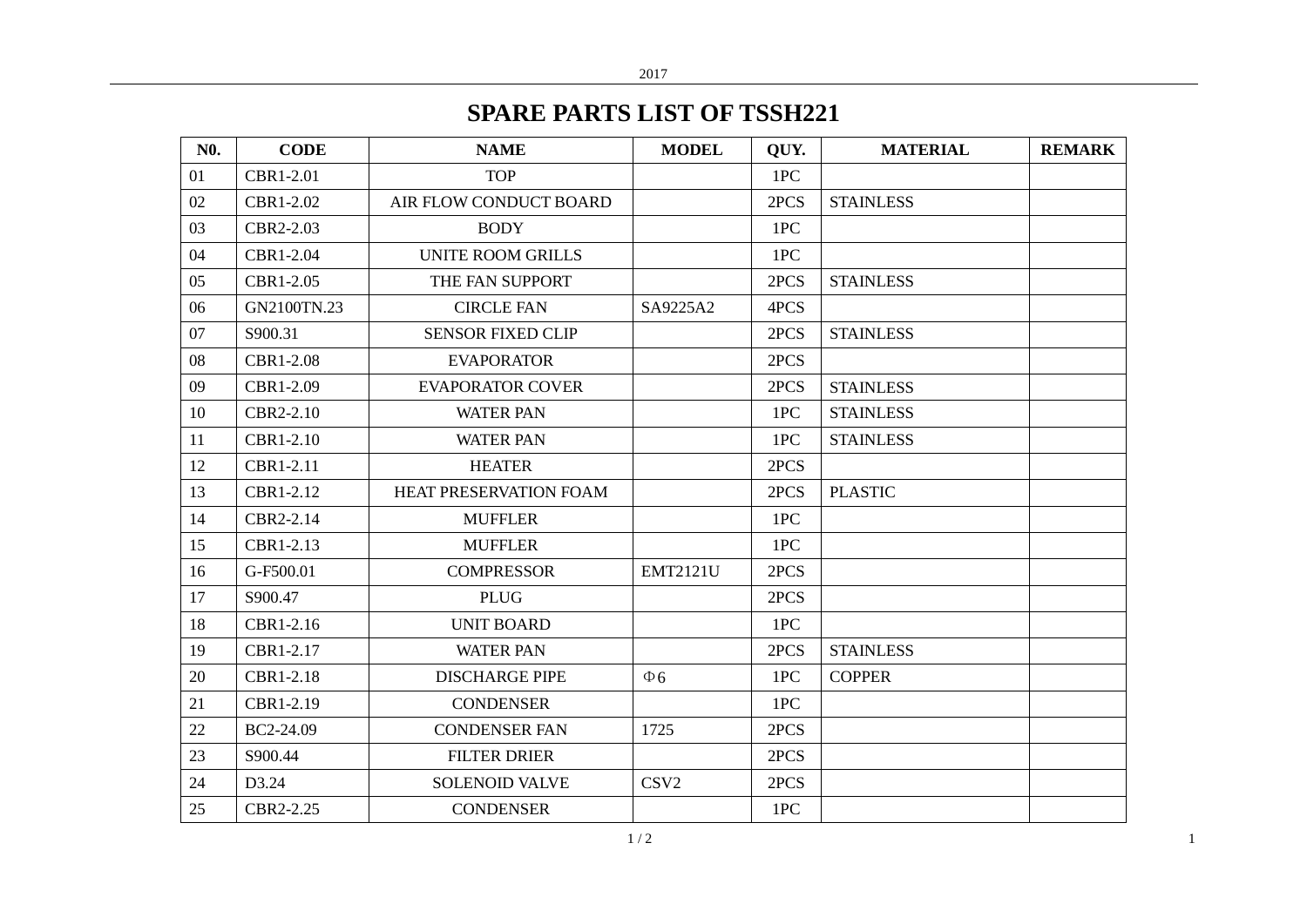## **SPARE PARTS LIST OF TSSH221**

| <b>N0.</b> | <b>CODE</b> | <b>NAME</b>              | <b>MODEL</b>     | OUY. | <b>MATERIAL</b>  | <b>REMARK</b> |
|------------|-------------|--------------------------|------------------|------|------------------|---------------|
| 01         | CBR1-2.01   | <b>TOP</b>               |                  | 1PC  |                  |               |
| 02         | CBR1-2.02   | AIR FLOW CONDUCT BOARD   |                  | 2PCS | <b>STAINLESS</b> |               |
| 03         | CBR2-2.03   | <b>BODY</b>              |                  | 1PC  |                  |               |
| 04         | CBR1-2.04   | <b>UNITE ROOM GRILLS</b> |                  | 1PC  |                  |               |
| 05         | CBR1-2.05   | THE FAN SUPPORT          |                  | 2PCS | <b>STAINLESS</b> |               |
| 06         | GN2100TN.23 | <b>CIRCLE FAN</b>        | SA9225A2         | 4PCS |                  |               |
| 07         | S900.31     | <b>SENSOR FIXED CLIP</b> |                  | 2PCS | <b>STAINLESS</b> |               |
| 08         | CBR1-2.08   | <b>EVAPORATOR</b>        |                  | 2PCS |                  |               |
| 09         | CBR1-2.09   | <b>EVAPORATOR COVER</b>  |                  | 2PCS | <b>STAINLESS</b> |               |
| 10         | CBR2-2.10   | <b>WATER PAN</b>         |                  | 1PC  | <b>STAINLESS</b> |               |
| 11         | CBR1-2.10   | <b>WATER PAN</b>         |                  | 1PC  | <b>STAINLESS</b> |               |
| 12         | CBR1-2.11   | <b>HEATER</b>            |                  | 2PCS |                  |               |
| 13         | CBR1-2.12   | HEAT PRESERVATION FOAM   |                  | 2PCS | <b>PLASTIC</b>   |               |
| 14         | CBR2-2.14   | <b>MUFFLER</b>           |                  | 1PC  |                  |               |
| 15         | CBR1-2.13   | <b>MUFFLER</b>           |                  | 1PC  |                  |               |
| 16         | G-F500.01   | <b>COMPRESSOR</b>        | <b>EMT2121U</b>  | 2PCS |                  |               |
| 17         | S900.47     | <b>PLUG</b>              |                  | 2PCS |                  |               |
| 18         | CBR1-2.16   | <b>UNIT BOARD</b>        |                  | 1PC  |                  |               |
| 19         | CBR1-2.17   | <b>WATER PAN</b>         |                  | 2PCS | <b>STAINLESS</b> |               |
| 20         | CBR1-2.18   | <b>DISCHARGE PIPE</b>    | $\Phi$ 6         | 1PC  | <b>COPPER</b>    |               |
| 21         | CBR1-2.19   | <b>CONDENSER</b>         |                  | 1PC  |                  |               |
| 22         | BC2-24.09   | <b>CONDENSER FAN</b>     | 1725             | 2PCS |                  |               |
| 23         | S900.44     | <b>FILTER DRIER</b>      |                  | 2PCS |                  |               |
| 24         | D3.24       | <b>SOLENOID VALVE</b>    | CSV <sub>2</sub> | 2PCS |                  |               |
| 25         | CBR2-2.25   | <b>CONDENSER</b>         |                  | 1PC  |                  |               |